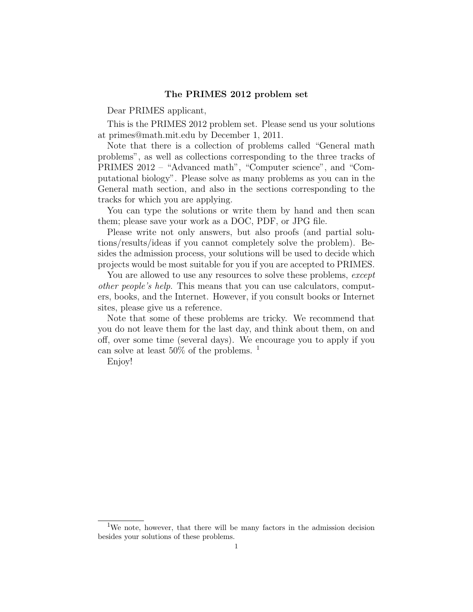## The PRIMES 2012 problem set

Dear PRIMES applicant,

This is the PRIMES 2012 problem set. Please send us your solutions at primes@math.mit.edu by December 1, 2011.

Note that there is a collection of problems called "General math problems", as well as collections corresponding to the three tracks of PRIMES 2012 – "Advanced math", "Computer science", and "Computational biology". Please solve as many problems as you can in the General math section, and also in the sections corresponding to the tracks for which you are applying.

You can type the solutions or write them by hand and then scan them; please save your work as a DOC, PDF, or JPG file.

Please write not only answers, but also proofs (and partial solutions/results/ideas if you cannot completely solve the problem). Besides the admission process, your solutions will be used to decide which projects would be most suitable for you if you are accepted to PRIMES.

You are allowed to use any resources to solve these problems, except other people's help. This means that you can use calculators, computers, books, and the Internet. However, if you consult books or Internet sites, please give us a reference.

Note that some of these problems are tricky. We recommend that you do not leave them for the last day, and think about them, on and off, over some time (several days). We encourage you to apply if you can solve at least  $50\%$  of the problems. <sup>1</sup>

Enjoy!

<sup>&</sup>lt;sup>1</sup>We note, however, that there will be many factors in the admission decision besides your solutions of these problems.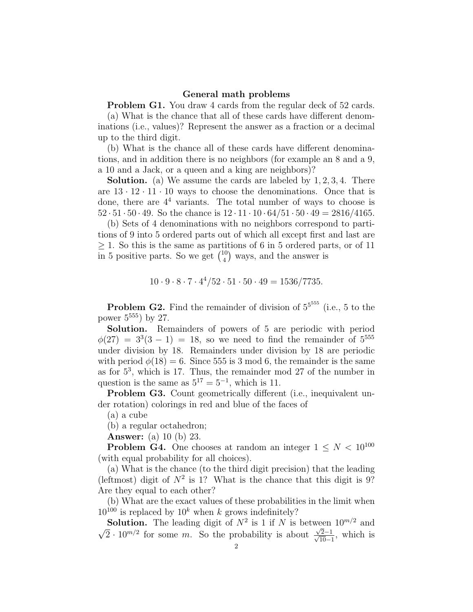## General math problems

**Problem G1.** You draw 4 cards from the regular deck of 52 cards.

(a) What is the chance that all of these cards have different denominations (i.e., values)? Represent the answer as a fraction or a decimal up to the third digit.

(b) What is the chance all of these cards have different denominations, and in addition there is no neighbors (for example an 8 and a 9, a 10 and a Jack, or a queen and a king are neighbors)?

Solution. (a) We assume the cards are labeled by 1, 2, 3, 4. There are  $13 \cdot 12 \cdot 11 \cdot 10$  ways to choose the denominations. Once that is done, there are  $4<sup>4</sup>$  variants. The total number of ways to choose is  $52 \cdot 51 \cdot 50 \cdot 49$ . So the chance is  $12 \cdot 11 \cdot 10 \cdot 64/51 \cdot 50 \cdot 49 = 2816/4165$ .

(b) Sets of 4 denominations with no neighbors correspond to partitions of 9 into 5 ordered parts out of which all except first and last are  $\geq$  1. So this is the same as partitions of 6 in 5 ordered parts, or of 11 in 5 positive parts. So we get  $\binom{10}{4}$  $\binom{10}{4}$  ways, and the answer is

$$
10 \cdot 9 \cdot 8 \cdot 7 \cdot 4^4 / 52 \cdot 51 \cdot 50 \cdot 49 = 1536 / 7735.
$$

**Problem G2.** Find the remainder of division of  $5^{5555}$  (i.e., 5 to the power  $5^{555}$ ) by 27.

Solution. Remainders of powers of 5 are periodic with period  $\phi(27) = 3^3(3-1) = 18$ , so we need to find the remainder of  $5^{555}$ under division by 18. Remainders under division by 18 are periodic with period  $\phi(18) = 6$ . Since 555 is 3 mod 6, the remainder is the same as for  $5^3$ , which is 17. Thus, the remainder mod 27 of the number in question is the same as  $5^{17} = 5^{-1}$ , which is 11.

Problem G3. Count geometrically different (i.e., inequivalent under rotation) colorings in red and blue of the faces of

(a) a cube

(b) a regular octahedron;

Answer: (a) 10 (b) 23.

**Problem G4.** One chooses at random an integer  $1 \leq N < 10^{100}$ (with equal probability for all choices).

(a) What is the chance (to the third digit precision) that the leading (leftmost) digit of  $N^2$  is 1? What is the chance that this digit is 9? Are they equal to each other?

(b) What are the exact values of these probabilities in the limit when  $10^{100}$  is replaced by  $10^k$  when k grows indefinitely?

**Solution.** The leading digit of  $N^2$  is 1 if N is between  $10^{m/2}$  and √  $\overline{2} \cdot 10^{m/2}$  for some m. So the probability is about √  $\frac{\sqrt{2}-1}{\sqrt{2}}$  $\frac{2-1}{10-1}$ , which is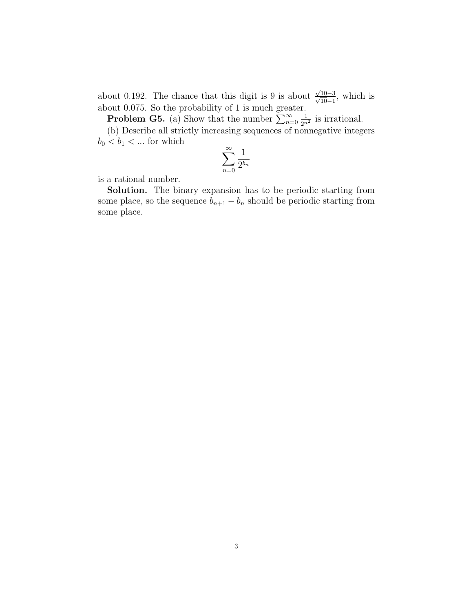about 0.192. The chance that this digit is 9 is about √  $\frac{\sqrt{10-3}}{2}$  $\frac{10-3}{10-1}$ , which is about 0.075. So the probability of 1 is much greater.

**Problem G5.** (a) Show that the number  $\sum_{n=0}^{\infty}$  $\frac{1}{2^{n^2}}$  is irrational.

(b) Describe all strictly increasing sequences of nonnegative integers  $b_0 < b_1 < \dots$  for which

$$
\sum_{n=0}^{\infty} \frac{1}{2^{b_n}}
$$

is a rational number.

Solution. The binary expansion has to be periodic starting from some place, so the sequence  $b_{n+1} - b_n$  should be periodic starting from some place.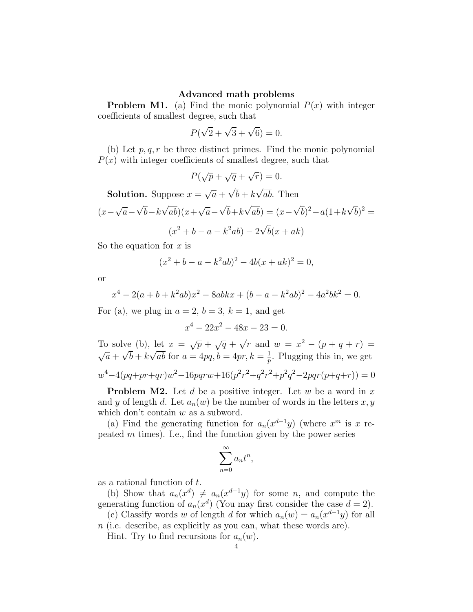## Advanced math problems

**Problem M1.** (a) Find the monic polynomial  $P(x)$  with integer coefficients of smallest degree, such that

$$
P(\sqrt{2} + \sqrt{3} + \sqrt{6}) = 0.
$$

(b) Let  $p, q, r$  be three distinct primes. Find the monic polynomial  $P(x)$  with integer coefficients of smallest degree, such that

$$
P(\sqrt{p} + \sqrt{q} + \sqrt{r}) = 0.
$$

**Solution.** Suppose  $x =$ √  $\overline{a}$  +  $b + k$ ab. Then

$$
(x - \sqrt{a} - \sqrt{b} - k\sqrt{ab})(x + \sqrt{a} - \sqrt{b} + k\sqrt{ab}) = (x - \sqrt{b})^2 - a(1 + k\sqrt{b})^2 =
$$
  

$$
(x^2 + b - a - k^2ab) - 2\sqrt{b}(x + ak)
$$

So the equation for  $x$  is

$$
(x2 + b - a - k2ab)2 - 4b(x + ak)2 = 0,
$$

or

$$
x4 - 2(a+b+k2ab)x2 - 8abkx + (b-a-k2ab)2 - 4a2bk2 = 0.
$$

For (a), we plug in  $a = 2$ ,  $b = 3$ ,  $k = 1$ , and get

$$
x^4 - 22x^2 - 48x - 23 = 0.
$$

To solve (b), let  $x = \sqrt{p} + \sqrt{q} + \sqrt{q}$  $r = (b)$ , let  $x = \sqrt{p} + \sqrt{q} + \sqrt{r}$  and  $w = x^2 - (p + q + r) =$ √  $\overline{a} + \sqrt{b} + k\sqrt{ab}$  for  $a = 4pq, b = 4pr, k = \frac{1}{n}$  $\frac{1}{p}$ . Plugging this in, we get  $w^4 - 4(pq + pr + qr)w^2 - 16pqrw + 16(p^2r^2 + q^2r^2 + p^2q^2 - 2pqr(p+q+r)) = 0$ 

**Problem M2.** Let d be a positive integer. Let w be a word in  $x$ and y of length d. Let  $a_n(w)$  be the number of words in the letters  $x, y$ which don't contain  $w$  as a subword.

(a) Find the generating function for  $a_n(x^{d-1}y)$  (where  $x^m$  is x repeated  $m$  times). I.e., find the function given by the power series

$$
\sum_{n=0}^{\infty} a_n t^n,
$$

as a rational function of t.

(b) Show that  $a_n(x^d) \neq a_n(x^{d-1}y)$  for some n, and compute the generating function of  $a_n(x^d)$  (You may first consider the case  $d = 2$ ).

(c) Classify words w of length d for which  $a_n(w) = a_n(x^{d-1}y)$  for all n (i.e. describe, as explicitly as you can, what these words are).

Hint. Try to find recursions for  $a_n(w)$ .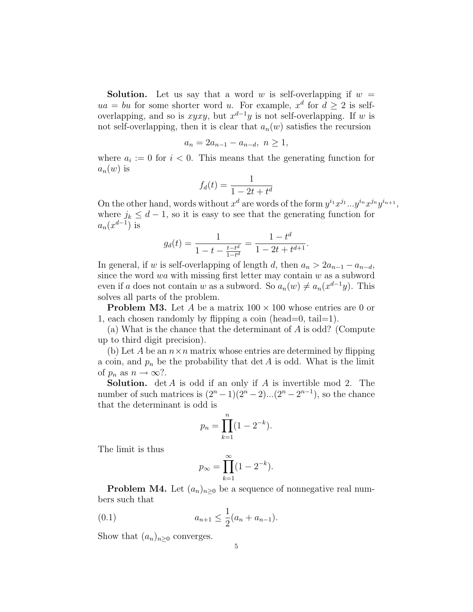**Solution.** Let us say that a word w is self-overlapping if  $w =$  $ua = bu$  for some shorter word u. For example,  $x<sup>d</sup>$  for  $d \ge 2$  is selfoverlapping, and so is  $xyxy$ , but  $x^{d-1}y$  is not self-overlapping. If w is not self-overlapping, then it is clear that  $a_n(w)$  satisfies the recursion

$$
a_n = 2a_{n-1} - a_{n-d}, \ n \ge 1,
$$

where  $a_i := 0$  for  $i < 0$ . This means that the generating function for  $a_n(w)$  is

$$
f_d(t) = \frac{1}{1 - 2t + t^d}
$$

On the other hand, words without  $x^d$  are words of the form  $y^{i_1}x^{j_1}...y^{i_n}x^{j_n}y^{i_{n+1}}$ , where  $j_k \leq d-1$ , so it is easy to see that the generating function for  $a_n(x^{d-1})$  is

$$
g_d(t) = \frac{1}{1 - t - \frac{t - t^d}{1 - t^d}} = \frac{1 - t^d}{1 - 2t + t^{d+1}}.
$$

In general, if w is self-overlapping of length d, then  $a_n > 2a_{n-1} - a_{n-d}$ , since the word wa with missing first letter may contain  $w$  as a subword even if a does not contain w as a subword. So  $a_n(w) \neq a_n(x^{d-1}y)$ . This solves all parts of the problem.

**Problem M3.** Let A be a matrix  $100 \times 100$  whose entries are 0 or 1, each chosen randomly by flipping a coin (head=0, tail=1).

(a) What is the chance that the determinant of A is odd? (Compute up to third digit precision).

(b) Let A be an  $n \times n$  matrix whose entries are determined by flipping a coin, and  $p_n$  be the probability that det A is odd. What is the limit of  $p_n$  as  $n \to \infty$ ?.

**Solution.** det A is odd if an only if A is invertible mod 2. The number of such matrices is  $(2^{n} - 1)(2^{n} - 2)...(2^{n} - 2^{n-1})$ , so the chance that the determinant is odd is

$$
p_n = \prod_{k=1}^n (1 - 2^{-k}).
$$

The limit is thus

$$
p_{\infty} = \prod_{k=1}^{\infty} (1 - 2^{-k}).
$$

**Problem M4.** Let  $(a_n)_{n\geq 0}$  be a sequence of nonnegative real numbers such that

(0.1) 
$$
a_{n+1} \leq \frac{1}{2}(a_n + a_{n-1}).
$$

Show that  $(a_n)_{n\geq 0}$  converges.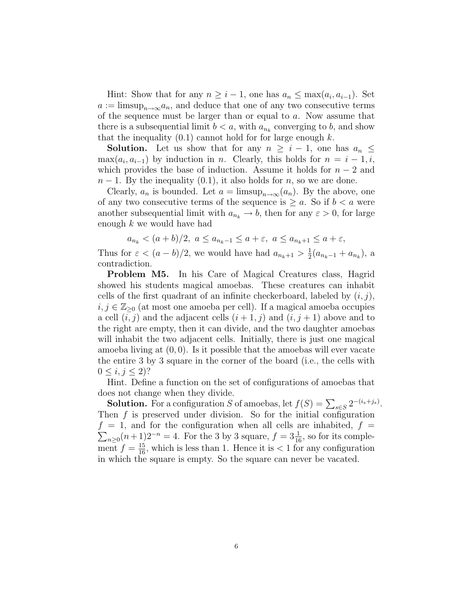Hint: Show that for any  $n \geq i - 1$ , one has  $a_n \leq \max(a_i, a_{i-1})$ . Set  $a := \limsup_{n \to \infty} a_n$ , and deduce that one of any two consecutive terms of the sequence must be larger than or equal to  $a$ . Now assume that there is a subsequential limit  $b < a$ , with  $a_{n_k}$  converging to b, and show that the inequality  $(0.1)$  cannot hold for for large enough k.

**Solution.** Let us show that for any  $n \geq i - 1$ , one has  $a_n \leq$  $\max(a_i, a_{i-1})$  by induction in n. Clearly, this holds for  $n = i - 1, i$ , which provides the base of induction. Assume it holds for  $n-2$  and  $n-1$ . By the inequality  $(0.1)$ , it also holds for n, so we are done.

Clearly,  $a_n$  is bounded. Let  $a = \limsup_{n \to \infty} (a_n)$ . By the above, one of any two consecutive terms of the sequence is  $\geq a$ . So if  $b < a$  were another subsequential limit with  $a_{n_k} \to b$ , then for any  $\varepsilon > 0$ , for large enough k we would have had

$$
a_{n_k} < (a+b)/2, \ a \le a_{n_k-1} \le a+\varepsilon, \ a \le a_{n_k+1} \le a+\varepsilon,
$$

Thus for  $\varepsilon < (a - b)/2$ , we would have had  $a_{n_k+1} > \frac{1}{2}$  $\frac{1}{2}(a_{n_k-1}+a_{n_k}),$  a contradiction.

Problem M5. In his Care of Magical Creatures class, Hagrid showed his students magical amoebas. These creatures can inhabit cells of the first quadrant of an infinite checkerboard, labeled by  $(i, j)$ ,  $i, j \in \mathbb{Z}_{\geq 0}$  (at most one amoeba per cell). If a magical amoeba occupies a cell  $(i, j)$  and the adjacent cells  $(i + 1, j)$  and  $(i, j + 1)$  above and to the right are empty, then it can divide, and the two daughter amoebas will inhabit the two adjacent cells. Initially, there is just one magical amoeba living at  $(0, 0)$ . Is it possible that the amoebas will ever vacate the entire 3 by 3 square in the corner of the board (i.e., the cells with  $0 \le i, j \le 2$ ?

Hint. Define a function on the set of configurations of amoebas that does not change when they divide.

**Solution.** For a configuration S of amoebas, let  $f(S) = \sum_{s \in S} 2^{-(i_s + j_s)}$ . Then  $f$  is preserved under division. So for the initial configuration  $f = 1$ , and for the configuration when all cells are inhabited,  $f =$  $\sum_{n\geq 0} (n+1)2^{-n} = 4$ . For the 3 by 3 square,  $f = 3\frac{1}{16}$ , so for its complement  $f = \frac{15}{16}$ , which is less than 1. Hence it is  $\lt 1$  for any configuration in which the square is empty. So the square can never be vacated.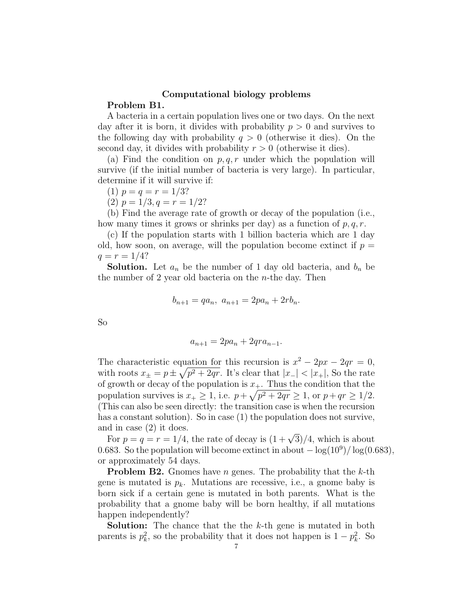## Computational biology problems Problem B1.

A bacteria in a certain population lives one or two days. On the next day after it is born, it divides with probability  $p > 0$  and survives to the following day with probability  $q > 0$  (otherwise it dies). On the second day, it divides with probability  $r > 0$  (otherwise it dies).

(a) Find the condition on  $p, q, r$  under which the population will survive (if the initial number of bacteria is very large). In particular, determine if it will survive if:

(1) 
$$
p = q = r = 1/3
$$
?

(2)  $p = 1/3, q = r = 1/2?$ 

(b) Find the average rate of growth or decay of the population (i.e., how many times it grows or shrinks per day) as a function of  $p, q, r$ .

(c) If the population starts with 1 billion bacteria which are 1 day old, how soon, on average, will the population become extinct if  $p =$  $q = r = 1/4?$ 

**Solution.** Let  $a_n$  be the number of 1 day old bacteria, and  $b_n$  be the number of 2 year old bacteria on the  $n$ -the day. Then

$$
b_{n+1} = qa_n, \ a_{n+1} = 2pa_n + 2rb_n.
$$

So

$$
a_{n+1} = 2pa_n + 2qra_{n-1}.
$$

The characteristic equation for this recursion is  $x^2 - 2px - 2qr = 0$ , with roots  $x_{\pm} = p \pm \sqrt{p^2 + 2qr}$ . It's clear that  $|x_-| < |x_+|$ , So the rate of growth or decay of the population is  $x_{+}$ . Thus the condition that the population survives is  $x_+ \geq 1$ , i.e.  $p + \sqrt{p^2 + 2qr} \geq 1$ , or  $p + qr \geq 1/2$ . (This can also be seen directly: the transition case is when the recursion has a constant solution). So in case (1) the population does not survive, and in case (2) it does.

a in case (2) it does.<br>For  $p = q = r = 1/4$ , the rate of decay is  $(1 + \sqrt{3})/4$ , which is about 0.683. So the population will become extinct in about  $-\log(10^9)/\log(0.683)$ , or approximately 54 days.

**Problem B2.** Gnomes have *n* genes. The probability that the  $k$ -th gene is mutated is  $p_k$ . Mutations are recessive, i.e., a gnome baby is born sick if a certain gene is mutated in both parents. What is the probability that a gnome baby will be born healthy, if all mutations happen independently?

**Solution:** The chance that the the k-th gene is mutated in both parents is  $p_k^2$ , so the probability that it does not happen is  $1 - p_k^2$ . So